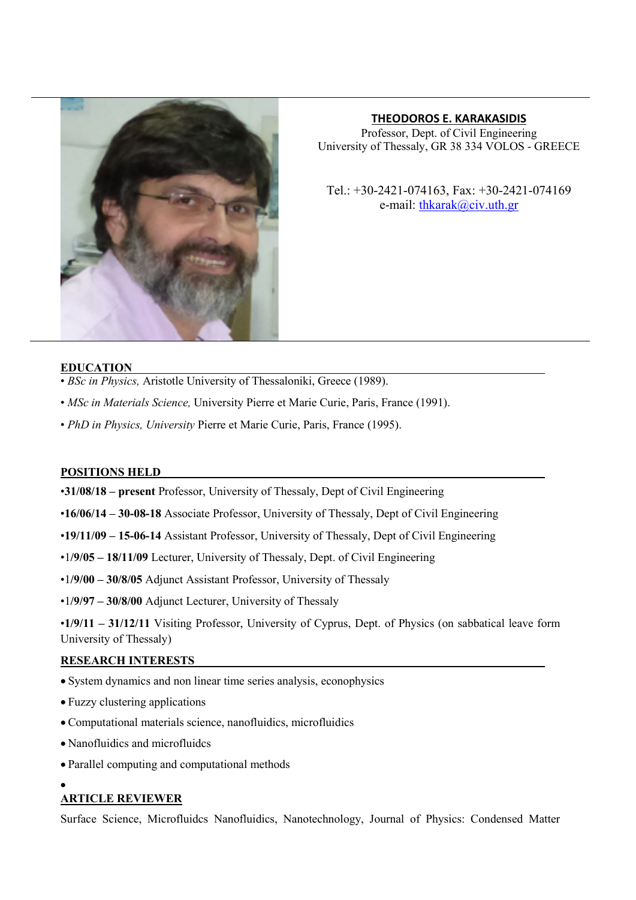

# THEODOROS E. KARAKASIDIS

Professor, Dept. of Civil Engineering University of Thessaly, GR 38 334 VOLOS - GREECE

Tel.: +30-2421-074163, Fax: +30-2421-074169 e-mail: thkarak@civ.uth.gr

### EDUCATION

- *BSc in Physics*, Aristotle University of Thessaloniki, Greece (1989).
- MSc in Materials Science, University Pierre et Marie Curie, Paris, France (1991).
- PhD in Physics, University Pierre et Marie Curie, Paris, France (1995).

#### POSITIONS HELD

- •31/08/18 present Professor, University of Thessaly, Dept of Civil Engineering
- •16/06/14 30-08-18 Associate Professor, University of Thessaly, Dept of Civil Engineering
- •19/11/09 15-06-14 Assistant Professor, University of Thessaly, Dept of Civil Engineering
- •1/9/05 18/11/09 Lecturer, University of Thessaly, Dept. of Civil Engineering
- •1/9/00 30/8/05 Adjunct Assistant Professor, University of Thessaly
- •1/9/97 30/8/00 Adjunct Lecturer, University of Thessaly

•1/9/11 – 31/12/11 Visiting Professor, University of Cyprus, Dept. of Physics (on sabbatical leave form University of Thessaly)

## RESEARCH INTERESTS

- System dynamics and non linear time series analysis, econophysics
- Fuzzy clustering applications
- Computational materials science, nanofluidics, microfluidics
- Nanofluidics and microfluidcs
- Parallel computing and computational methods

#### $\bullet$ ARTICLE REVIEWER

Surface Science, Microfluidcs Nanofluidics, Nanotechnology, Journal of Physics: Condensed Matter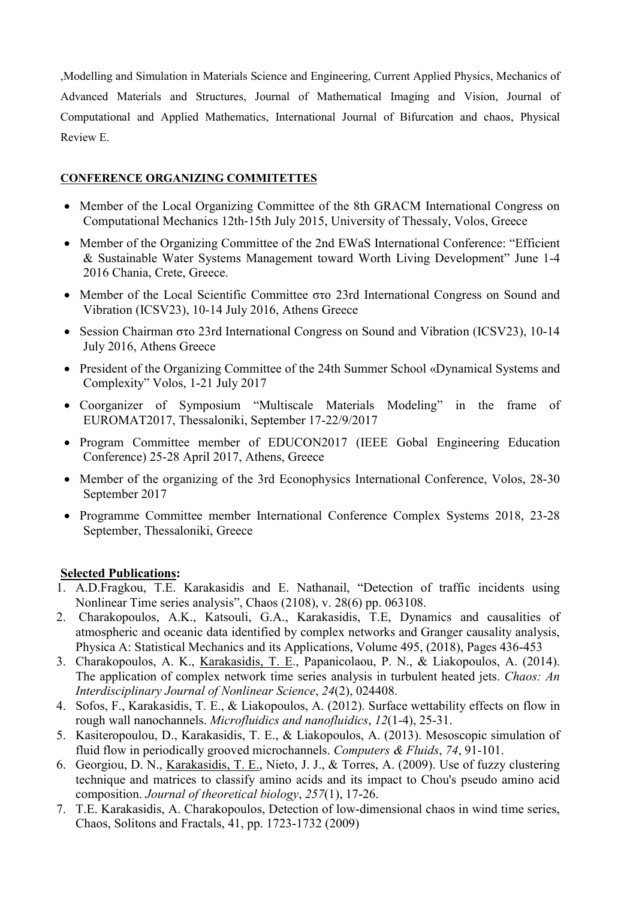,Modelling and Simulation in Materials Science and Engineering, Current Applied Physics, Mechanics of Advanced Materials and Structures, Journal of Mathematical Imaging and Vision, Journal of Computational and Applied Mathematics, International Journal of Bifurcation and chaos, Physical Review E.

# CONFERENCE ORGANIZING COMMITETTES

- Member of the Local Organizing Committee of the 8th GRACM International Congress on Computational Mechanics 12th‐15th July 2015, University of Thessaly, Volos, Greece
- Member of the Organizing Committee of the 2nd EWaS International Conference: "Efficient & Sustainable Water Systems Management toward Worth Living Development" June 1-4 2016 Chania, Crete, Greece.
- Member of the Local Scientific Committee στο 23rd International Congress on Sound and Vibration (ICSV23), 10-14 July 2016, Athens Greece
- Session Chairman στο 23rd International Congress on Sound and Vibration (ICSV23), 10-14 July 2016, Athens Greece
- President of the Organizing Committee of the 24th Summer School «Dynamical Systems and Complexity" Volos, 1-21 July 2017
- Coorganizer of Symposium "Multiscale Materials Modeling" in the frame of EUROMAT2017, Thessaloniki, September 17-22/9/2017
- Program Committee member of EDUCON2017 (IEEE Gobal Engineering Education Conference) 25-28 April 2017, Athens, Greece
- Member of the organizing of the 3rd Econophysics International Conference, Volos, 28-30 September 2017
- Programme Committee member International Conference Complex Systems 2018, 23-28 September, Thessaloniki, Greece

## Selected Publications:

- 1. A.D.Fragkou, T.E. Karakasidis and E. Nathanail, "Detection of traffic incidents using Nonlinear Time series analysis", Chaos (2108), v. 28(6) pp. 063108.
- 2. Charakopoulos, A.K., Katsouli, G.A., Karakasidis, T.E, Dynamics and causalities of atmospheric and oceanic data identified by complex networks and Granger causality analysis, Physica A: Statistical Mechanics and its Applications, Volume 495, (2018), Pages 436-453
- 3. Charakopoulos, A. Κ., Karakasidis, T. E., Papanicolaou, P. N., & Liakopoulos, A. (2014). The application of complex network time series analysis in turbulent heated jets. Chaos: An Interdisciplinary Journal of Nonlinear Science, 24(2), 024408.
- 4. Sofos, F., Karakasidis, T. E., & Liakopoulos, A. (2012). Surface wettability effects on flow in rough wall nanochannels. Microfluidics and nanofluidics, 12(1-4), 25-31.
- 5. Kasiteropoulou, D., Karakasidis, T. E., & Liakopoulos, A. (2013). Mesoscopic simulation of fluid flow in periodically grooved microchannels. Computers & Fluids, 74, 91-101.
- 6. Georgiou, D. N., Karakasidis, T. E., Nieto, J. J., & Torres, A. (2009). Use of fuzzy clustering technique and matrices to classify amino acids and its impact to Chou's pseudo amino acid composition. Journal of theoretical biology, 257(1), 17-26.
- 7. T.E. Karakasidis, A. Charakopoulos, Detection of low-dimensional chaos in wind time series, Chaos, Solitons and Fractals, 41, pp. 1723-1732 (2009)